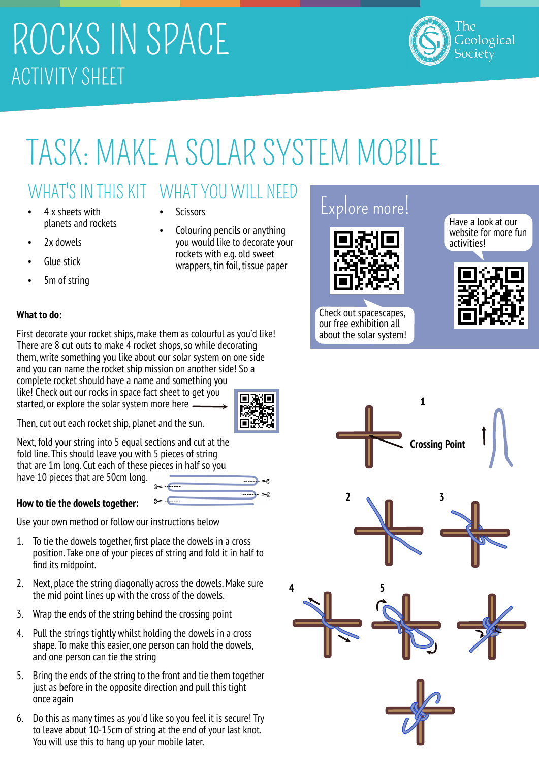# ROCKS IN SPACE **ACTIVITY SHEET**



# TASK: MAKE A SOLAR SYSTEM MOBILE

### WHAT'S IN THIS KIT WHAT YOU WILL NEED

First decorate your rocket ships, make them as colourful as you'd like! There are 8 cut outs to make 4 rocket shops, so while decorating them, write something you like about our solar system on one side and you can name the rocket ship mission on another side! So a complete rocket should have a name and something you like! Check out our rocks in space fact sheet to get you started, or explore the solar system more here.

- 4 x sheets with planets and rockets
- 2x dowels
- **Glue stick**

**What to do:**

5m of string

- **Scissors**
- Colouring pencils or anything you would like to decorate your rockets with e.g. old sweet wrappers, tin foil, tissue paper

### Explore more!



Check out spacescapes, our free exhibition all about the solar system!

Have a look at our website for more fun activities!





Then, cut out each rocket ship, planet and the sun.

Next, fold your string into 5 equal sections and cut at the fold line. This should leave you with 5 pieces of string that are 1m long. Cut each of these pieces in half so you have 10 pieces that are 50cm long.

#### **How to tie the dowels together:**

Use your own method or follow our instructions below

- 1. To tie the dowels together, first place the dowels in a cross position. Take one of your pieces of string and fold it in half to find its midpoint.
- 2. Next, place the string diagonally across the dowels. Make sure the mid point lines up with the cross of the dowels.
- 3. Wrap the ends of the string behind the crossing point
- 4. Pull the strings tightly whilst holding the dowels in a cross shape. To make this easier, one person can hold the dowels, and one person can tie the string
- 5. Bring the ends of the string to the front and tie them together just as before in the opposite direction and pull this tight once again
- 6. Do this as many times as you'd like so you feel it is secure! Try to leave about 10-15cm of string at the end of your last knot. You will use this to hang up your mobile later.